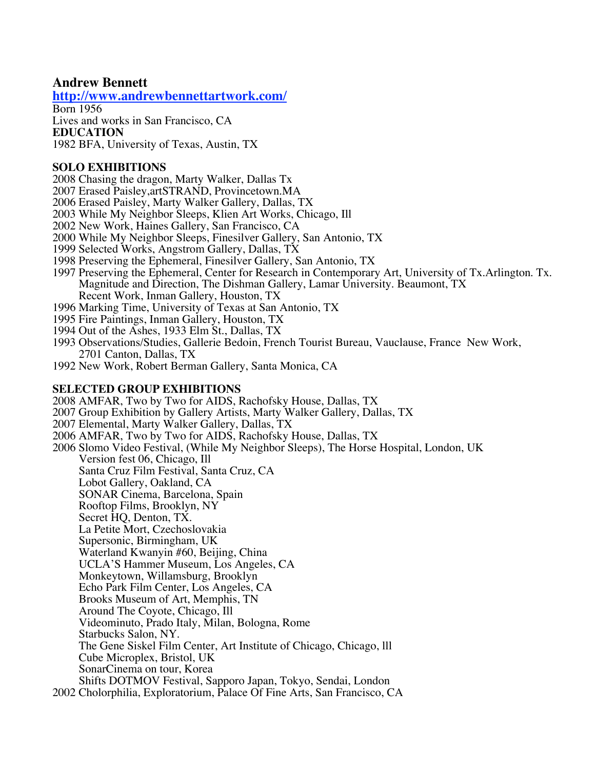## **Andrew Bennett**

**http://www.andrewbennettartwork.com/**

Born 1956

Lives and works in San Francisco, CA

#### **EDUCATION**

1982 BFA, University of Texas, Austin, TX

### **SOLO EXHIBITIONS**

- 2008 Chasing the dragon, Marty Walker, Dallas Tx
- 2007 Erased Paisley,artSTRAND, Provincetown.MA
- 2006 Erased Paisley, Marty Walker Gallery, Dallas, TX
- 2003 While My Neighbor Sleeps, Klien Art Works, Chicago, Ill
- 2002 New Work, Haines Gallery, San Francisco, CA
- 2000 While My Neighbor Sleeps, Finesilver Gallery, San Antonio, TX
- 1999 Selected Works, Angstrom Gallery, Dallas, TX
- 1998 Preserving the Ephemeral, Finesilver Gallery, San Antonio, TX
- 1997 Preserving the Ephemeral, Center for Research in Contemporary Art, University of Tx.Arlington. Tx. Magnitude and Direction, The Dishman Gallery, Lamar University. Beaumont, TX Recent Work, Inman Gallery, Houston, TX
- 1996 Marking Time, University of Texas at San Antonio, TX
- 1995 Fire Paintings, Inman Gallery, Houston, TX
- 1994 Out of the Ashes, 1933 Elm St., Dallas, TX
- 1993 Observations/Studies, Gallerie Bedoin, French Tourist Bureau, Vauclause, France New Work, 2701 Canton, Dallas, TX
- 1992 New Work, Robert Berman Gallery, Santa Monica, CA

### **SELECTED GROUP EXHIBITIONS**

2008 AMFAR, Two by Two for AIDS, Rachofsky House, Dallas, TX 2007 Group Exhibition by Gallery Artists, Marty Walker Gallery, Dallas, TX 2007 Elemental, Marty Walker Gallery, Dallas, TX 2006 AMFAR, Two by Two for AIDS, Rachofsky House, Dallas, TX 2006 Slomo Video Festival, (While My Neighbor Sleeps), The Horse Hospital, London, UK Version fest 06, Chicago, Ill Santa Cruz Film Festival, Santa Cruz, CA Lobot Gallery, Oakland, CA SONAR Cinema, Barcelona, Spain Rooftop Films, Brooklyn, NY Secret HQ, Denton, TX. La Petite Mort, Czechoslovakia Supersonic, Birmingham, UK Waterland Kwanyin #60, Beijing, China UCLA'S Hammer Museum, Los Angeles, CA Monkeytown, Willamsburg, Brooklyn Echo Park Film Center, Los Angeles, CA Brooks Museum of Art, Memphis, TN Around The Coyote, Chicago, Ill Videominuto, Prado Italy, Milan, Bologna, Rome Starbucks Salon, NY. The Gene Siskel Film Center, Art Institute of Chicago, Chicago, lll Cube Microplex, Bristol, UK SonarCinema on tour, Korea Shifts DOTMOV Festival, Sapporo Japan, Tokyo, Sendai, London 2002 Cholorphilia, Exploratorium, Palace Of Fine Arts, San Francisco, CA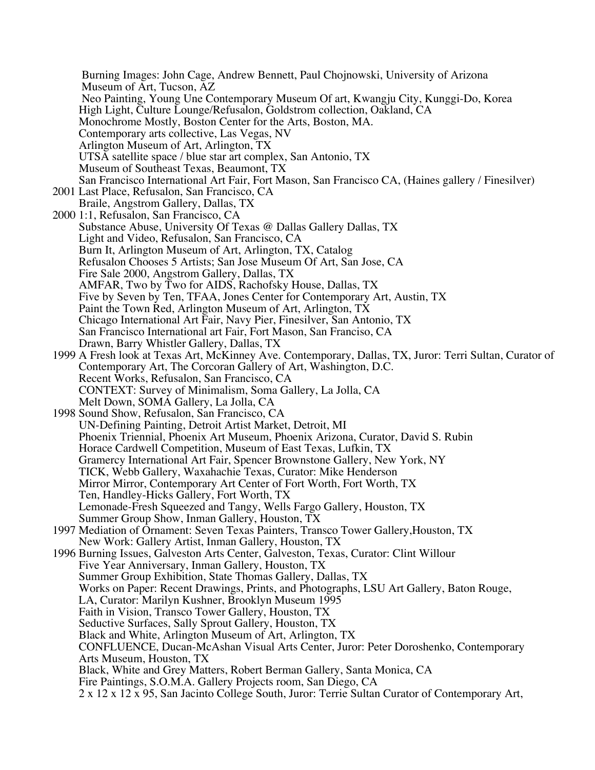Burning Images: John Cage, Andrew Bennett, Paul Chojnowski, University of Arizona Museum of Art, Tucson, AZ Neo Painting, Young Une Contemporary Museum Of art, Kwangju City, Kunggi-Do, Korea High Light, Culture Lounge/Refusalon, Goldstrom collection, Oakland, CA Monochrome Mostly, Boston Center for the Arts, Boston, MA. Contemporary arts collective, Las Vegas, NV Arlington Museum of Art, Arlington, TX UTSA satellite space / blue star art complex, San Antonio, TX Museum of Southeast Texas, Beaumont, TX San Francisco International Art Fair, Fort Mason, San Francisco CA, (Haines gallery / Finesilver) 2001 Last Place, Refusalon, San Francisco, CA Braile, Angstrom Gallery, Dallas, TX 2000 1:1, Refusalon, San Francisco, CA Substance Abuse, University Of Texas @ Dallas Gallery Dallas, TX Light and Video, Refusalon, San Francisco, CA Burn It, Arlington Museum of Art, Arlington, TX, Catalog Refusalon Chooses 5 Artists; San Jose Museum Of Art, San Jose, CA Fire Sale 2000, Angstrom Gallery, Dallas, TX AMFAR, Two by Two for AIDS, Rachofsky House, Dallas, TX Five by Seven by Ten, TFAA, Jones Center for Contemporary Art, Austin, TX Paint the Town Red, Arlington Museum of Art, Arlington, TX Chicago International Art Fair, Navy Pier, Finesilver, San Antonio, TX San Francisco International art Fair, Fort Mason, San Franciso, CA Drawn, Barry Whistler Gallery, Dallas, TX 1999 A Fresh look at Texas Art, McKinney Ave. Contemporary, Dallas, TX, Juror: Terri Sultan, Curator of Contemporary Art, The Corcoran Gallery of Art, Washington, D.C. Recent Works, Refusalon, San Francisco, CA CONTEXT: Survey of Minimalism, Soma Gallery, La Jolla, CA Melt Down, SOMA Gallery, La Jolla, CA 1998 Sound Show, Refusalon, San Francisco, CA UN-Defining Painting, Detroit Artist Market, Detroit, MI Phoenix Triennial, Phoenix Art Museum, Phoenix Arizona, Curator, David S. Rubin Horace Cardwell Competition, Museum of East Texas, Lufkin, TX Gramercy International Art Fair, Spencer Brownstone Gallery, New York, NY TICK, Webb Gallery, Waxahachie Texas, Curator: Mike Henderson Mirror Mirror, Contemporary Art Center of Fort Worth, Fort Worth, TX Ten, Handley-Hicks Gallery, Fort Worth, TX Lemonade-Fresh Squeezed and Tangy, Wells Fargo Gallery, Houston, TX Summer Group Show, Inman Gallery, Houston, TX 1997 Mediation of Ornament: Seven Texas Painters, Transco Tower Gallery,Houston, TX New Work: Gallery Artist, Inman Gallery, Houston, TX 1996 Burning Issues, Galveston Arts Center, Galveston, Texas, Curator: Clint Willour Five Year Anniversary, Inman Gallery, Houston, TX Summer Group Exhibition, State Thomas Gallery, Dallas, TX Works on Paper: Recent Drawings, Prints, and Photographs, LSU Art Gallery, Baton Rouge, LA, Curator: Marilyn Kushner, Brooklyn Museum 1995 Faith in Vision, Transco Tower Gallery, Houston, TX Seductive Surfaces, Sally Sprout Gallery, Houston, TX Black and White, Arlington Museum of Art, Arlington, TX CONFLUENCE, Ducan-McAshan Visual Arts Center, Juror: Peter Doroshenko, Contemporary Arts Museum, Houston, TX Black, White and Grey Matters, Robert Berman Gallery, Santa Monica, CA Fire Paintings, S.O.M.A. Gallery Projects room, San Diego, CA 2 x 12 x 12 x 95, San Jacinto College South, Juror: Terrie Sultan Curator of Contemporary Art,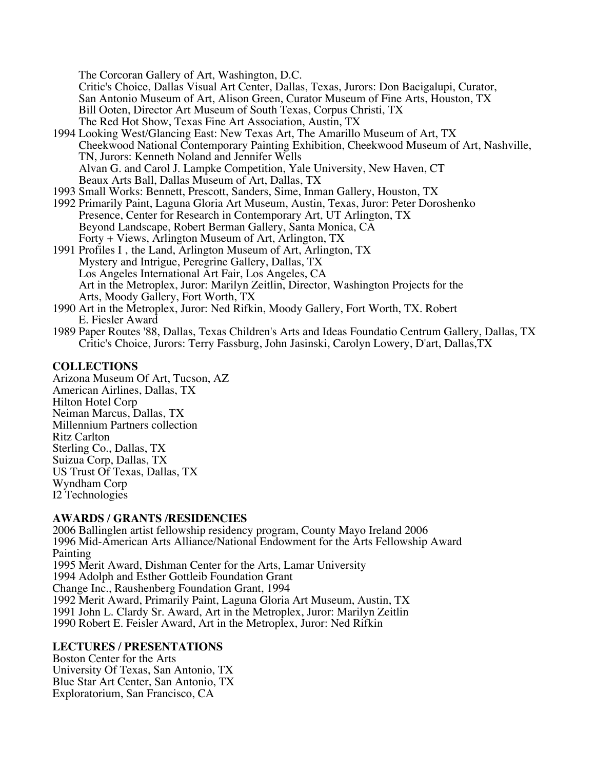The Corcoran Gallery of Art, Washington, D.C.

Critic's Choice, Dallas Visual Art Center, Dallas, Texas, Jurors: Don Bacigalupi, Curator, San Antonio Museum of Art, Alison Green, Curator Museum of Fine Arts, Houston, TX Bill Ooten, Director Art Museum of South Texas, Corpus Christi, TX The Red Hot Show, Texas Fine Art Association, Austin, TX

- 1994 Looking West/Glancing East: New Texas Art, The Amarillo Museum of Art, TX Cheekwood National Contemporary Painting Exhibition, Cheekwood Museum of Art, Nashville, TN, Jurors: Kenneth Noland and Jennifer Wells Alvan G. and Carol J. Lampke Competition, Yale University, New Haven, CT Beaux Arts Ball, Dallas Museum of Art, Dallas, TX
- 1993 Small Works: Bennett, Prescott, Sanders, Sime, Inman Gallery, Houston, TX
- 1992 Primarily Paint, Laguna Gloria Art Museum, Austin, Texas, Juror: Peter Doroshenko Presence, Center for Research in Contemporary Art, UT Arlington, TX Beyond Landscape, Robert Berman Gallery, Santa Monica, CA Forty + Views, Arlington Museum of Art, Arlington, TX
- 1991 Profiles I, the Land, Arlington Museum of Art, Arlington, TX Mystery and Intrigue, Peregrine Gallery, Dallas, TX Los Angeles International Art Fair, Los Angeles, CA Art in the Metroplex, Juror: Marilyn Zeitlin, Director, Washington Projects for the Arts, Moody Gallery, Fort Worth, TX
- 1990 Art in the Metroplex, Juror: Ned Rifkin, Moody Gallery, Fort Worth, TX. Robert E. Fiesler Award
- 1989 Paper Routes '88, Dallas, Texas Children's Arts and Ideas Foundatio Centrum Gallery, Dallas, TX Critic's Choice, Jurors: Terry Fassburg, John Jasinski, Carolyn Lowery, D'art, Dallas,TX

# **COLLECTIONS**

Arizona Museum Of Art, Tucson, AZ American Airlines, Dallas, TX Hilton Hotel Corp Neiman Marcus, Dallas, TX Millennium Partners collection Ritz Carlton Sterling Co., Dallas, TX Suizua Corp, Dallas, TX US Trust Of Texas, Dallas, TX Wyndham Corp I2 Technologies

## **AWARDS / GRANTS /RESIDENCIES**

2006 Ballinglen artist fellowship residency program, County Mayo Ireland 2006 1996 Mid-American Arts Alliance/National Endowment for the Arts Fellowship Award Painting 1995 Merit Award, Dishman Center for the Arts, Lamar University 1994 Adolph and Esther Gottleib Foundation Grant Change Inc., Raushenberg Foundation Grant, 1994 1992 Merit Award, Primarily Paint, Laguna Gloria Art Museum, Austin, TX 1991 John L. Clardy Sr. Award, Art in the Metroplex, Juror: Marilyn Zeitlin 1990 Robert E. Feisler Award, Art in the Metroplex, Juror: Ned Rifkin

## **LECTURES / PRESENTATIONS**

Boston Center for the Arts University Of Texas, San Antonio, TX Blue Star Art Center, San Antonio, TX Exploratorium, San Francisco, CA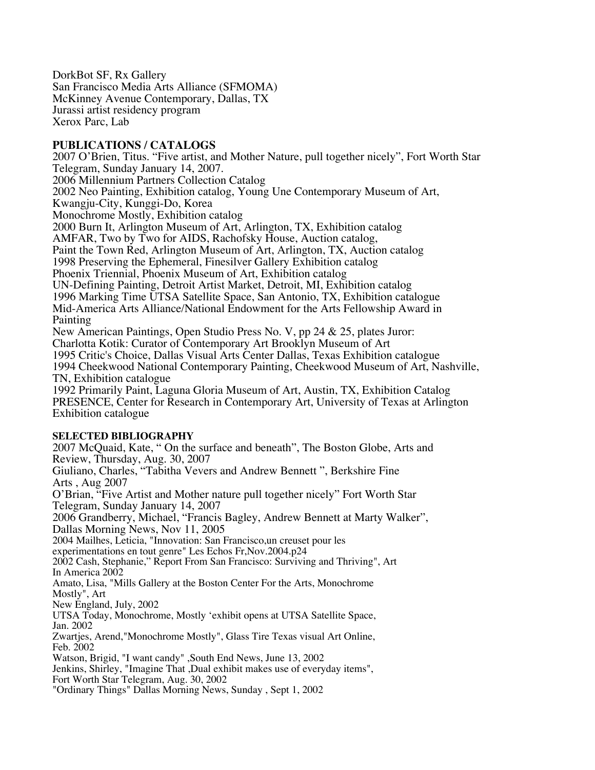DorkBot SF, Rx Gallery San Francisco Media Arts Alliance (SFMOMA) McKinney Avenue Contemporary, Dallas, TX Jurassi artist residency program Xerox Parc, Lab

### **PUBLICATIONS / CATALOGS**

2007 O'Brien, Titus. "Five artist, and Mother Nature, pull together nicely", Fort Worth Star Telegram, Sunday January 14, 2007. 2006 Millennium Partners Collection Catalog 2002 Neo Painting, Exhibition catalog, Young Une Contemporary Museum of Art, Kwangju-City, Kunggi-Do, Korea Monochrome Mostly, Exhibition catalog 2000 Burn It, Arlington Museum of Art, Arlington, TX, Exhibition catalog AMFAR, Two by Two for AIDS, Rachofsky House, Auction catalog, Paint the Town Red, Arlington Museum of Art, Arlington, TX, Auction catalog 1998 Preserving the Ephemeral, Finesilver Gallery Exhibition catalog Phoenix Triennial, Phoenix Museum of Art, Exhibition catalog UN-Defining Painting, Detroit Artist Market, Detroit, MI, Exhibition catalog 1996 Marking Time UTSA Satellite Space, San Antonio, TX, Exhibition catalogue Mid-America Arts Alliance/National Endowment for the Arts Fellowship Award in Painting New American Paintings, Open Studio Press No. V, pp 24 & 25, plates Juror: Charlotta Kotik: Curator of Contemporary Art Brooklyn Museum of Art 1995 Critic's Choice, Dallas Visual Arts Center Dallas, Texas Exhibition catalogue 1994 Cheekwood National Contemporary Painting, Cheekwood Museum of Art, Nashville, TN, Exhibition catalogue 1992 Primarily Paint, Laguna Gloria Museum of Art, Austin, TX, Exhibition Catalog

PRESENCE, Center for Research in Contemporary Art, University of Texas at Arlington Exhibition catalogue

### **SELECTED BIBLIOGRAPHY**

2007 McQuaid, Kate, " On the surface and beneath", The Boston Globe, Arts and Review, Thursday, Aug. 30, 2007 Giuliano, Charles, "Tabitha Vevers and Andrew Bennett ", Berkshire Fine Arts , Aug 2007 O'Brian, "Five Artist and Mother nature pull together nicely" Fort Worth Star Telegram, Sunday January 14, 2007 2006 Grandberry, Michael, "Francis Bagley, Andrew Bennett at Marty Walker", Dallas Morning News, Nov 11, 2005 2004 Mailhes, Leticia, "Innovation: San Francisco,un creuset pour les experimentations en tout genre" Les Echos Fr,Nov.2004.p24 2002 Cash, Stephanie," Report From San Francisco: Surviving and Thriving", Art In America 2002 Amato, Lisa, "Mills Gallery at the Boston Center For the Arts, Monochrome Mostly", Art New England, July, 2002 UTSA Today, Monochrome, Mostly 'exhibit opens at UTSA Satellite Space, Jan. 2002 Zwartjes, Arend,"Monochrome Mostly", Glass Tire Texas visual Art Online, Feb. 2002 Watson, Brigid, "I want candy" ,South End News, June 13, 2002 Jenkins, Shirley, "Imagine That ,Dual exhibit makes use of everyday items", Fort Worth Star Telegram, Aug. 30, 2002 "Ordinary Things" Dallas Morning News, Sunday , Sept 1, 2002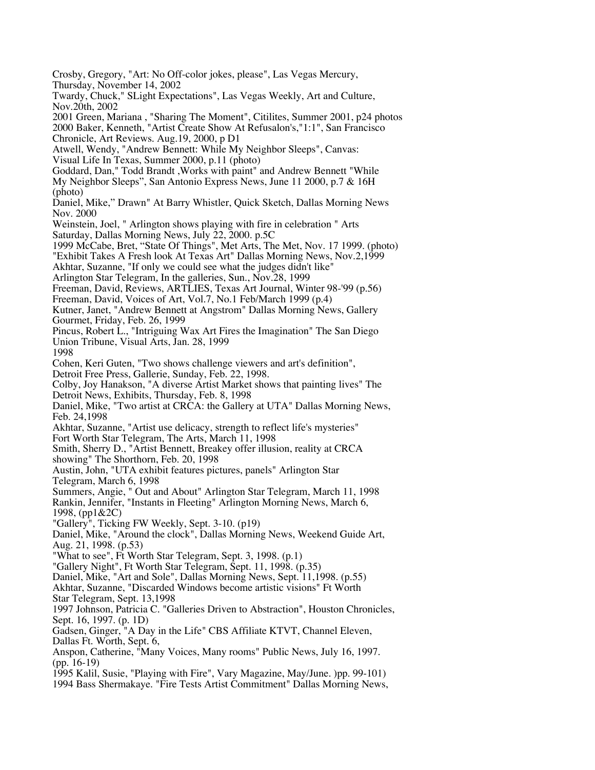Twardy, Chuck," SLight Expectations", Las Vegas Weekly, Art and Culture, Nov.20th, 2002 2001 Green, Mariana , "Sharing The Moment", Citilites, Summer 2001, p24 photos 2000 Baker, Kenneth, "Artist Create Show At Refusalon's,"1:1", San Francisco Chronicle, Art Reviews. Aug.19, 2000, p D1 Atwell, Wendy, "Andrew Bennett: While My Neighbor Sleeps", Canvas: Visual Life In Texas, Summer 2000, p.11 (photo) Goddard, Dan," Todd Brandt ,Works with paint" and Andrew Bennett "While My Neighbor Sleeps", San Antonio Express News, June 11 2000, p.7 & 16H (photo) Daniel, Mike," Drawn" At Barry Whistler, Quick Sketch, Dallas Morning News Nov. 2000 Weinstein, Joel, " Arlington shows playing with fire in celebration " Arts Saturday, Dallas Morning News, July 22, 2000. p.5C 1999 McCabe, Bret, "State Of Things", Met Arts, The Met, Nov. 17 1999. (photo) "Exhibit Takes A Fresh look At Texas Art" Dallas Morning News, Nov.2,1999 Akhtar, Suzanne, "If only we could see what the judges didn't like" Arlington Star Telegram, In the galleries, Sun., Nov.28, 1999 Freeman, David, Reviews, ARTLIES, Texas Art Journal, Winter 98-'99 (p.56) Freeman, David, Voices of Art, Vol.7, No.1 Feb/March 1999 (p.4) Kutner, Janet, "Andrew Bennett at Angstrom" Dallas Morning News, Gallery Gourmet, Friday, Feb. 26, 1999 Pincus, Robert L., "Intriguing Wax Art Fires the Imagination" The San Diego Union Tribune, Visual Arts, Jan. 28, 1999 1998 Cohen, Keri Guten, "Two shows challenge viewers and art's definition", Detroit Free Press, Gallerie, Sunday, Feb. 22, 1998. Colby, Joy Hanakson, "A diverse Artist Market shows that painting lives" The Detroit News, Exhibits, Thursday, Feb. 8, 1998 Daniel, Mike, "Two artist at CRCA: the Gallery at UTA" Dallas Morning News, Feb. 24,1998 Akhtar, Suzanne, "Artist use delicacy, strength to reflect life's mysteries" Fort Worth Star Telegram, The Arts, March 11, 1998 Smith, Sherry D., "Artist Bennett, Breakey offer illusion, reality at CRCA showing" The Shorthorn, Feb. 20, 1998 Austin, John, "UTA exhibit features pictures, panels" Arlington Star Telegram, March 6, 1998 Summers, Angie, " Out and About" Arlington Star Telegram, March 11, 1998 Rankin, Jennifer, "Instants in Fleeting" Arlington Morning News, March 6, 1998, (pp1&2C) "Gallery", Ticking FW Weekly, Sept. 3-10. (p19) Daniel, Mike, "Around the clock", Dallas Morning News, Weekend Guide Art, Aug. 21, 1998. (p.53) "What to see", Ft Worth Star Telegram, Sept. 3, 1998. (p.1) "Gallery Night", Ft Worth Star Telegram, Sept. 11, 1998. (p.35) Daniel, Mike, "Art and Sole", Dallas Morning News, Sept. 11,1998. (p.55) Akhtar, Suzanne, "Discarded Windows become artistic visions" Ft Worth Star Telegram, Sept. 13,1998 1997 Johnson, Patricia C. "Galleries Driven to Abstraction", Houston Chronicles, Sept. 16, 1997. (p. 1D) Gadsen, Ginger, "A Day in the Life" CBS Affiliate KTVT, Channel Eleven, Dallas Ft. Worth, Sept. 6, Anspon, Catherine, "Many Voices, Many rooms" Public News, July 16, 1997. (pp. 16-19) 1995 Kalil, Susie, "Playing with Fire", Vary Magazine, May/June. )pp. 99-101) 1994 Bass Shermakaye. "Fire Tests Artist Commitment" Dallas Morning News,

Crosby, Gregory, "Art: No Off-color jokes, please", Las Vegas Mercury,

Thursday, November 14, 2002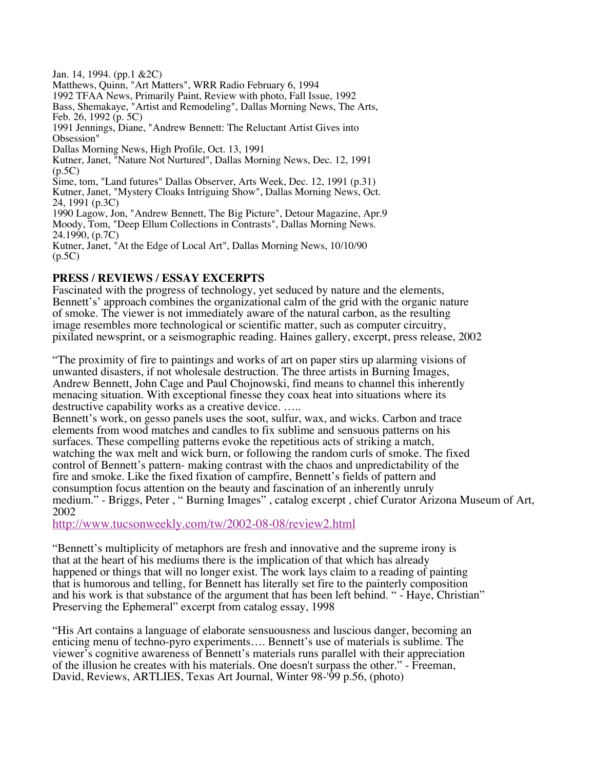Jan. 14, 1994. (pp.1 &2C) Matthews, Quinn, "Art Matters", WRR Radio February 6, 1994 1992 TFAA News, Primarily Paint, Review with photo, Fall Issue, 1992 Bass, Shemakaye, "Artist and Remodeling", Dallas Morning News, The Arts, Feb. 26, 1992 (p. 5C) 1991 Jennings, Diane, "Andrew Bennett: The Reluctant Artist Gives into Obsession" Dallas Morning News, High Profile, Oct. 13, 1991 Kutner, Janet, "Nature Not Nurtured", Dallas Morning News, Dec. 12, 1991 (p.5C) Sime, tom, "Land futures" Dallas Observer, Arts Week, Dec. 12, 1991 (p.31) Kutner, Janet, "Mystery Cloaks Intriguing Show", Dallas Morning News, Oct. 24, 1991 (p.3C) 1990 Lagow, Jon, "Andrew Bennett, The Big Picture", Detour Magazine, Apr.9 Moody, Tom, "Deep Ellum Collections in Contrasts", Dallas Morning News. 24.1990, (p.7C) Kutner, Janet, "At the Edge of Local Art", Dallas Morning News, 10/10/90  $(p.5C)$ 

### **PRESS / REVIEWS / ESSAY EXCERPTS**

Fascinated with the progress of technology, yet seduced by nature and the elements, Bennett's' approach combines the organizational calm of the grid with the organic nature of smoke. The viewer is not immediately aware of the natural carbon, as the resulting image resembles more technological or scientific matter, such as computer circuitry, pixilated newsprint, or a seismographic reading. Haines gallery, excerpt, press release, 2002

"The proximity of fire to paintings and works of art on paper stirs up alarming visions of unwanted disasters, if not wholesale destruction. The three artists in Burning Images, Andrew Bennett, John Cage and Paul Chojnowski, find means to channel this inherently menacing situation. With exceptional finesse they coax heat into situations where its destructive capability works as a creative device. .....

Bennett's work, on gesso panels uses the soot, sulfur, wax, and wicks. Carbon and trace elements from wood matches and candles to fix sublime and sensuous patterns on his surfaces. These compelling patterns evoke the repetitious acts of striking a match, watching the wax melt and wick burn, or following the random curls of smoke. The fixed control of Bennett's pattern- making contrast with the chaos and unpredictability of the fire and smoke. Like the fixed fixation of campfire, Bennett's fields of pattern and consumption focus attention on the beauty and fascination of an inherently unruly medium." - Briggs, Peter , " Burning Images" , catalog excerpt , chief Curator Arizona Museum of Art, 2002

http://www.tucsonweekly.com/tw/2002-08-08/review2.html

"Bennett's multiplicity of metaphors are fresh and innovative and the supreme irony is that at the heart of his mediums there is the implication of that which has already happened or things that will no longer exist. The work lays claim to a reading of painting that is humorous and telling, for Bennett has literally set fire to the painterly composition and his work is that substance of the argument that has been left behind. " - Haye, Christian" Preserving the Ephemeral" excerpt from catalog essay, 1998

"His Art contains a language of elaborate sensuousness and luscious danger, becoming an enticing menu of techno-pyro experiments…. Bennett's use of materials is sublime. The viewer's cognitive awareness of Bennett's materials runs parallel with their appreciation of the illusion he creates with his materials. One doesn't surpass the other." - Freeman, David, Reviews, ARTLIES, Texas Art Journal, Winter 98-'99 p.56, (photo)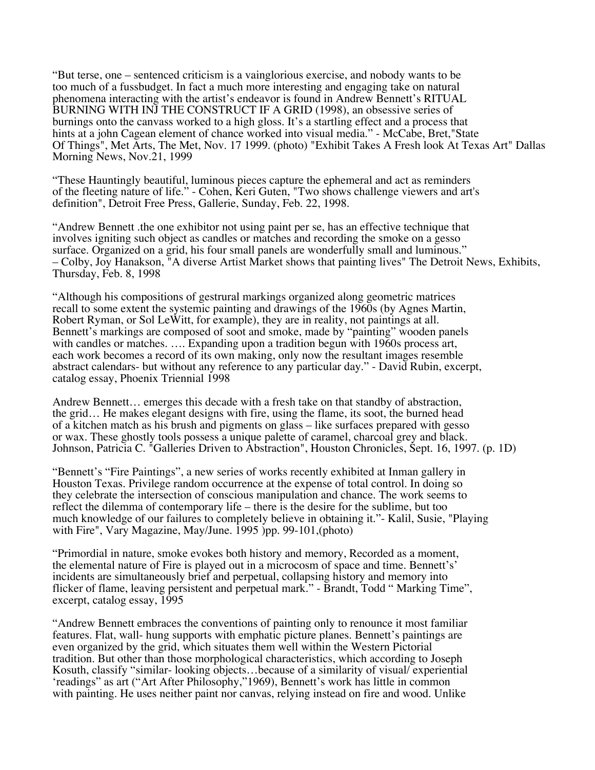"But terse, one – sentenced criticism is a vainglorious exercise, and nobody wants to be too much of a fussbudget. In fact a much more interesting and engaging take on natural phenomena interacting with the artist's endeavor is found in Andrew Bennett's RITUAL BURNING WITH INJ THE CONSTRUCT IF A GRID (1998), an obsessive series of burnings onto the canvass worked to a high gloss. It's a startling effect and a process that hints at a john Cagean element of chance worked into visual media." - McCabe, Bret, "State Of Things", Met Arts, The Met, Nov. 17 1999. (photo) "Exhibit Takes A Fresh look At Texas Art" Dallas Morning News, Nov.21, 1999

"These Hauntingly beautiful, luminous pieces capture the ephemeral and act as reminders of the fleeting nature of life." - Cohen, Keri Guten, "Two shows challenge viewers and art's definition", Detroit Free Press, Gallerie, Sunday, Feb. 22, 1998.

"Andrew Bennett .the one exhibitor not using paint per se, has an effective technique that involves igniting such object as candles or matches and recording the smoke on a gesso surface. Organized on a grid, his four small panels are wonderfully small and luminous." – Colby, Joy Hanakson, "A diverse Artist Market shows that painting lives" The Detroit News, Exhibits, Thursday, Feb. 8, 1998

"Although his compositions of gestrural markings organized along geometric matrices recall to some extent the systemic painting and drawings of the 1960s (by Agnes Martin, Robert Ryman, or Sol LeWitt, for example), they are in reality, not paintings at all. Bennett's markings are composed of soot and smoke, made by "painting" wooden panels with candles or matches. .... Expanding upon a tradition begun with 1960s process art, each work becomes a record of its own making, only now the resultant images resemble abstract calendars- but without any reference to any particular day." - David Rubin, excerpt, catalog essay, Phoenix Triennial 1998

Andrew Bennett… emerges this decade with a fresh take on that standby of abstraction, the grid… He makes elegant designs with fire, using the flame, its soot, the burned head of a kitchen match as his brush and pigments on glass – like surfaces prepared with gesso or wax. These ghostly tools possess a unique palette of caramel, charcoal grey and black. Johnson, Patricia C. "Galleries Driven to Abstraction", Houston Chronicles, Sept. 16, 1997. (p. 1D)

"Bennett's "Fire Paintings", a new series of works recently exhibited at Inman gallery in Houston Texas. Privilege random occurrence at the expense of total control. In doing so they celebrate the intersection of conscious manipulation and chance. The work seems to reflect the dilemma of contemporary life – there is the desire for the sublime, but too much knowledge of our failures to completely believe in obtaining it."- Kalil, Susie, "Playing with Fire", Vary Magazine, May/June. 1995 )pp. 99-101, (photo)

"Primordial in nature, smoke evokes both history and memory, Recorded as a moment, the elemental nature of Fire is played out in a microcosm of space and time. Bennett's' incidents are simultaneously brief and perpetual, collapsing history and memory into flicker of flame, leaving persistent and perpetual mark." - Brandt, Todd " Marking Time", excerpt, catalog essay, 1995

"Andrew Bennett embraces the conventions of painting only to renounce it most familiar features. Flat, wall- hung supports with emphatic picture planes. Bennett's paintings are even organized by the grid, which situates them well within the Western Pictorial tradition. But other than those morphological characteristics, which according to Joseph Kosuth, classify "similar- looking objects…because of a similarity of visual/ experiential 'readings" as art ("Art After Philosophy,"1969), Bennett's work has little in common with painting. He uses neither paint nor canvas, relying instead on fire and wood. Unlike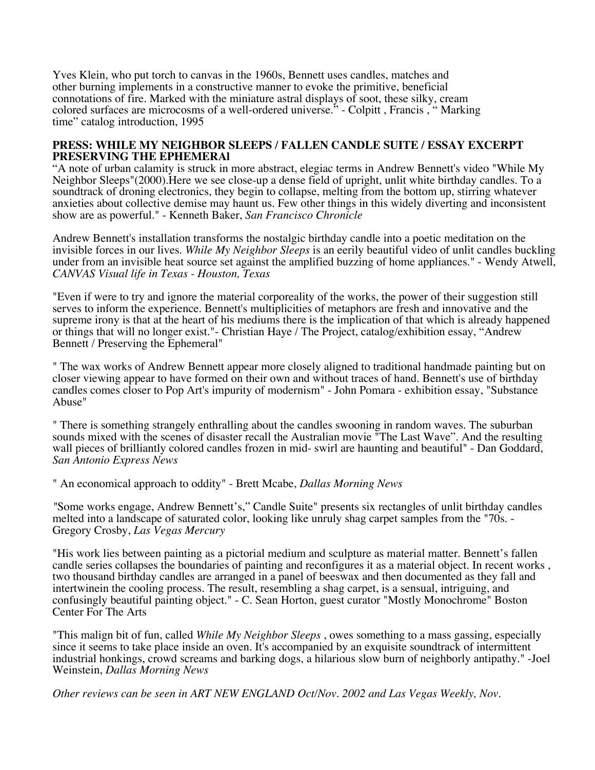Yves Klein, who put torch to canvas in the 1960s, Bennett uses candles, matches and other burning implements in a constructive manner to evoke the primitive, beneficial connotations of fire. Marked with the miniature astral displays of soot, these silky, cream colored surfaces are microcosms of a well-ordered universe." - Colpitt , Francis , " Marking time" catalog introduction, 1995

#### **PRESS: WHILE MY NEIGHBOR SLEEPS / FALLEN CANDLE SUITE / ESSAY EXCERPT PRESERVING THE EPHEMERAl**

"A note of urban calamity is struck in more abstract, elegiac terms in Andrew Bennett's video "While My Neighbor Sleeps"(2000).Here we see close-up a dense field of upright, unlit white birthday candles. To a soundtrack of droning electronics, they begin to collapse, melting from the bottom up, stirring whatever anxieties about collective demise may haunt us. Few other things in this widely diverting and inconsistent show are as powerful." - Kenneth Baker, *San Francisco Chronicle*

Andrew Bennett's installation transforms the nostalgic birthday candle into a poetic meditation on the invisible forces in our lives. *While My Neighbor Sleeps* is an eerily beautiful video of unlit candles buckling under from an invisible heat source set against the amplified buzzing of home appliances." - Wendy Atwell, *CANVAS Visual life in Texas - Houston, Texas*

"Even if were to try and ignore the material corporeality of the works, the power of their suggestion still serves to inform the experience. Bennett's multiplicities of metaphors are fresh and innovative and the supreme irony is that at the heart of his mediums there is the implication of that which is already happened or things that will no longer exist."- Christian Haye / The Project, catalog/exhibition essay, "Andrew Bennett / Preserving the Ephemeral"

" The wax works of Andrew Bennett appear more closely aligned to traditional handmade painting but on closer viewing appear to have formed on their own and without traces of hand. Bennett's use of birthday candles comes closer to Pop Art's impurity of modernism" - John Pomara - exhibition essay, "Substance Abuse"

" There is something strangely enthralling about the candles swooning in random waves. The suburban sounds mixed with the scenes of disaster recall the Australian movie "The Last Wave". And the resulting wall pieces of brilliantly colored candles frozen in mid- swirl are haunting and beautiful" - Dan Goddard, *San Antonio Express News*

" An economical approach to oddity" - Brett Mcabe, *Dallas Morning News*

*"*Some works engage, Andrew Bennett's," Candle Suite" presents six rectangles of unlit birthday candles melted into a landscape of saturated color, looking like unruly shag carpet samples from the "70s. - Gregory Crosby, *Las Vegas Mercury*

"His work lies between painting as a pictorial medium and sculpture as material matter. Bennett's fallen candle series collapses the boundaries of painting and reconfigures it as a material object. In recent works , two thousand birthday candles are arranged in a panel of beeswax and then documented as they fall and intertwinein the cooling process. The result, resembling a shag carpet, is a sensual, intriguing, and confusingly beautiful painting object." - C. Sean Horton, guest curator "Mostly Monochrome" Boston Center For The Arts

"This malign bit of fun, called *While My Neighbor Sleeps* , owes something to a mass gassing, especially since it seems to take place inside an oven. It's accompanied by an exquisite soundtrack of intermittent industrial honkings, crowd screams and barking dogs, a hilarious slow burn of neighborly antipathy." -Joel Weinstein, *Dallas Morning News*

*Other reviews can be seen in ART NEW ENGLAND Oct/Nov. 2002 and Las Vegas Weekly, Nov.*